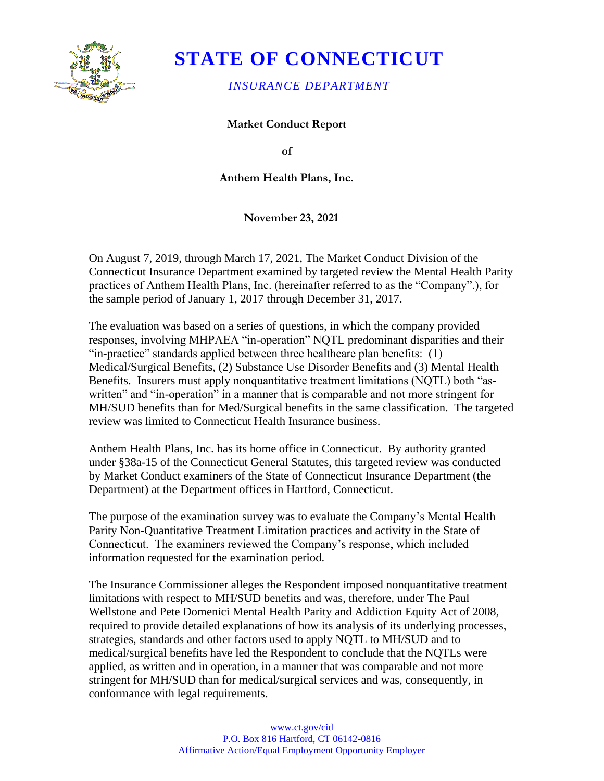

# **STATE OF CONNECTICUT**

### *INSURANCE DEPARTMENT*

**Market Conduct Report** 

**of** 

**Anthem Health Plans, Inc.** 

**November 23, 2021** 

On August 7, 2019, through March 17, 2021, The Market Conduct Division of the Connecticut Insurance Department examined by targeted review the Mental Health Parity practices of Anthem Health Plans, Inc. (hereinafter referred to as the "Company".), for the sample period of January 1, 2017 through December 31, 2017.

The evaluation was based on a series of questions, in which the company provided responses, involving MHPAEA "in-operation" NQTL predominant disparities and their "in-practice" standards applied between three healthcare plan benefits: (1) Medical/Surgical Benefits, (2) Substance Use Disorder Benefits and (3) Mental Health Benefits. Insurers must apply nonquantitative treatment limitations (NQTL) both "aswritten" and "in-operation" in a manner that is comparable and not more stringent for MH/SUD benefits than for Med/Surgical benefits in the same classification. The targeted review was limited to Connecticut Health Insurance business.

Anthem Health Plans, Inc. has its home office in Connecticut. By authority granted under §38a-15 of the Connecticut General Statutes, this targeted review was conducted by Market Conduct examiners of the State of Connecticut Insurance Department (the Department) at the Department offices in Hartford, Connecticut.

The purpose of the examination survey was to evaluate the Company's Mental Health Parity Non-Quantitative Treatment Limitation practices and activity in the State of Connecticut. The examiners reviewed the Company's response, which included information requested for the examination period.

The Insurance Commissioner alleges the Respondent imposed nonquantitative treatment limitations with respect to MH/SUD benefits and was, therefore, under The Paul Wellstone and Pete Domenici Mental Health Parity and Addiction Equity Act of 2008, required to provide detailed explanations of how its analysis of its underlying processes, strategies, standards and other factors used to apply NQTL to MH/SUD and to medical/surgical benefits have led the Respondent to conclude that the NQTLs were applied, as written and in operation, in a manner that was comparable and not more stringent for MH/SUD than for medical/surgical services and was, consequently, in conformance with legal requirements.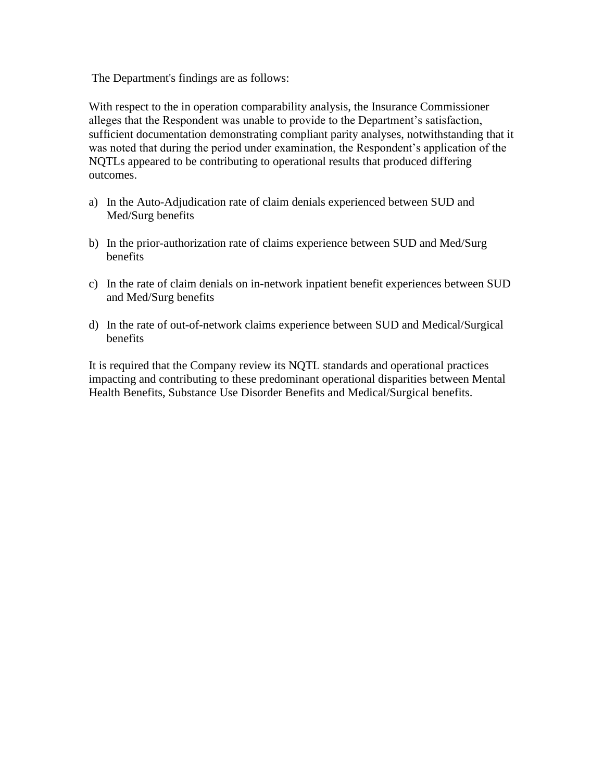The Department's findings are as follows:

With respect to the in operation comparability analysis, the Insurance Commissioner alleges that the Respondent was unable to provide to the Department's satisfaction, sufficient documentation demonstrating compliant parity analyses, notwithstanding that it was noted that during the period under examination, the Respondent's application of the NQTLs appeared to be contributing to operational results that produced differing outcomes.

- a) In the Auto-Adjudication rate of claim denials experienced between SUD and Med/Surg benefits
- b) In the prior-authorization rate of claims experience between SUD and Med/Surg benefits
- c) In the rate of claim denials on in-network inpatient benefit experiences between SUD and Med/Surg benefits
- d) In the rate of out-of-network claims experience between SUD and Medical/Surgical benefits

It is required that the Company review its NQTL standards and operational practices impacting and contributing to these predominant operational disparities between Mental Health Benefits, Substance Use Disorder Benefits and Medical/Surgical benefits.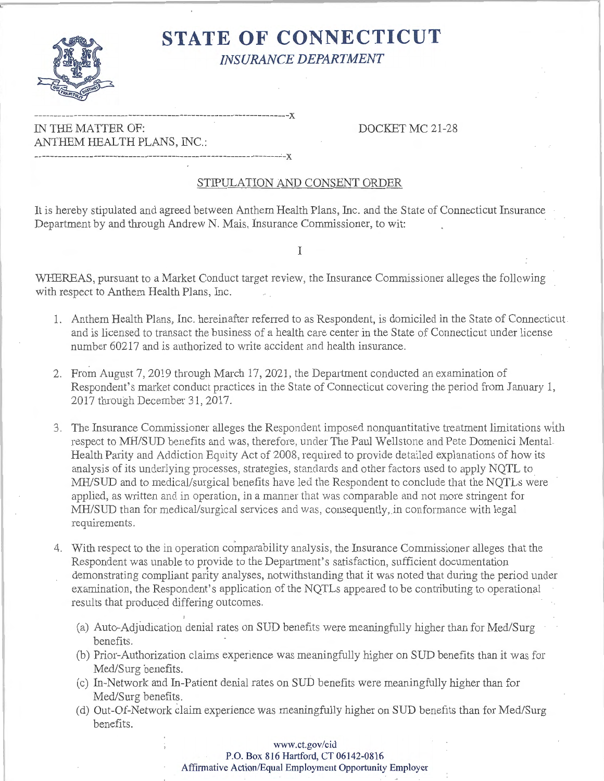

## **STATE OF CONNECTICUT**  *INSURANCE DEPARTMENT*

**---------------------------------- ------------------- ------- - ----x**  IN THE MATTER OF: DOCKET MC 21-28 ANTHEM HEALTH PLANS, INC.: -------------------------------------------------------------- ·-x

### STIPULATION AND CONSENT ORDER

It is hereby stipulated and agreed between Anthem Health Plans, Inc. and the State of Connecticut Insurance Department by and through Andrew N. Mais, Insurance Commissioner, to wit:

I

WHEREAS, pursuant to a Market Conduct target review, the Insurance Commissioner alleges the following with respect to Anthem Health Plans, Inc.

- 1. Anthem Health Plans, Inc. hereinafter referred to as Respondent, is domiciled in the State of Connecticut and is licensed to transact the business of a health care center in the State of Connecticut under license number 60217 and is authorized to write accident and health insurance.
- 2. From August 7, 2019 through March 17, 2021, the Department conducted an examination of Respondent's market conduct practices in the State of Connecticut covering the period from January 1, 2017 through December 31, 2017.
- 3. The Insurance Commissioner alleges the Respondent imposed nonquantitative treatment limitations with respect to MH/SUD benefits and was, therefore, under The Paul Wellstone and Pete Domenici Mental Health Parity and Addiction Equity Act of 2008, required to provide detailed explanations of how its analysis of its underlying processes, strategies, standards and other factors used to apply NQTL to MH/SUD and to medical/surgical benefits have led the Respondent to conclude that the NQTLs were applied, as written and in operation, in a manner that was comparable and not more stringent for MH/SUD than for medical/surgical services and was, consequently, in conformance with legal requirements.
- 4. With respect to the in operation comparability analysis, the Insurance Commissioner alleges that the Respondent was unable to provide to the Department's satisfaction, sufficient documentation demonstrating compliant parity analyses, notwithstanding that it was noted that during the period under examination, the Respondent's application of the NQTLs appeared to be contributing to operational results that produced differing outcomes.
	- (a) Auto-Adjudication denial rates on SUD benefits were meaningfully higher than for Med/Surg benefits.
	- (b) Prior-Authorization claims experience was meaningfully higher on SUD benefits than it was for Med/Surg benefits.
	- (c) In-Network and In-Patient denial rates on SUD benefits were meaningfully higher than for Med/Surg benefits.
	- (d) Out-Of-Network claim experience was meaningfully higher on SUD benefits than for Med/Surg benefits.

### **www.ct.gov/cid P.O. Box 816 Hartford, CT 06142-0816 Affirmative Action/Equal Employment Opportunity Employer**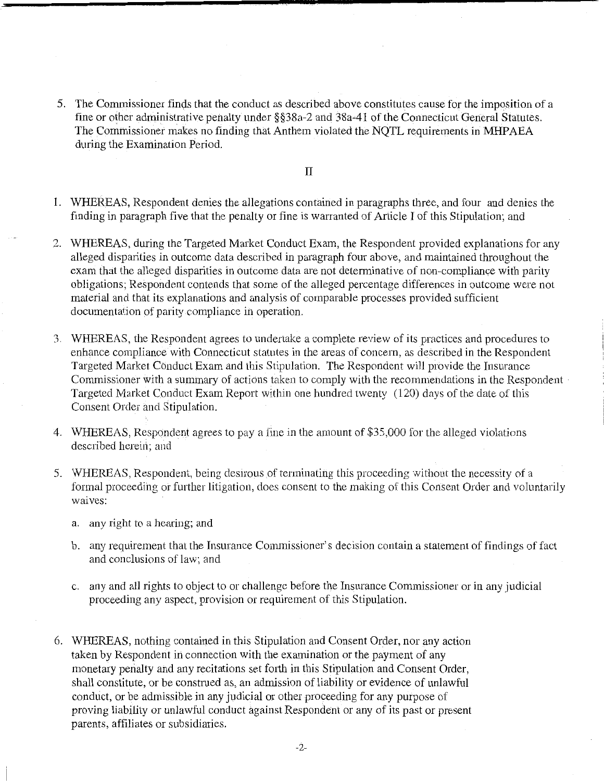5. The Commissioner finds that the conduct as described above constitutes cause for the imposition of a fine or other administrative penalty under §§38a-2 and 38a-41 of the Connecticut General Statutes. The Commissioner makes no finding that Anthem violated the NQTL requirements in **MHP** AEA during the Examination Period.

II

- 1. WHEREAS, Respondent denies the allegations contained in paragraphs three, and four and denies the finding in paragraph five that the penalty or fine is warranted of Article I of this Stipulation; and
- 2. WHEREAS, during the Targeted Market Conduct Exam, the Respondent provided explanations for any alleged disparities in outcome data described in paragraph four above, and maintained throughout the exam that the alleged disparities in outcome data are not determinative of non-compliance with parity obligations; Respondent contends that some of the alleged percentage differences in outcome were not material and that its explanations and analysis of comparable processes provided sufficient documentation of parity compliance in operation.
- 3. WHEREAS, the Respondent agrees to undertake a complete review of its practices and procedures to enhance compliance with Connecticut statutes in the areas of concern, as described in the Respondent Targeted Market Conduct Exam and this Stipulation. The Respondent will provide the Insurance Commissioner with a summary of actions taken to comply with the recommendations in the Respondent Targeted Market Conduct Exam Report within one hundred twenty (120) days of the date of this Consent Order and Stipulation.
- 4. WHEREAS, Respondent agrees to pay a fine in the amount of \$35,000 for the alleged violations described herein; and
- 5. **WHEREAS,** Respondent, being desirous of terminating this proceeding without the necessity of a formal proceeding or further litigation, does consent to the making of this Consent Order and voluntarily waives:
	- a. any right to a hearing; and
	- b. any requirement that the Insurance Commissioner's decision contain a statement of findings of fact and conclusions of law; and
	- c. any and all rights to object to or challenge before the Insurance Commissioner or in any judicial proceeding any aspect, provision or requirement of this Stipulation.
- 6. WHEREAS, nothing contained in this Stipulation and Consent Order, nor any action taken by Respondent in connection with the examination or the payment of any monetary perialty and any recitations set forth in this Stipulation and Consent Order, shall constitute, or be construed as, an admission of liability or evidence of unlawful conduct, or be admissible in any judicial or other proceeding for any purpose of proving liability or unlawful conduct against Respondent or any of its past or present parents, affiliates or subsidiaries.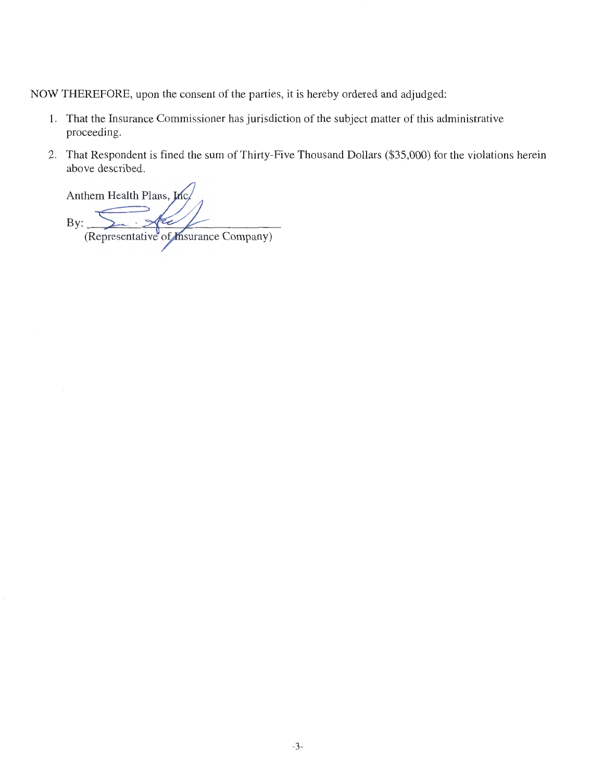NOW THEREFORE, upon the consent of the parties, it is hereby ordered and adjudged:

- 1. That the Insurance Commissioner has jurisdiction of the subject matter of this administrative proceeding.
- 2. That Respondent is fined the sum of Thirty-Five Thousand Dollars (\$35,000) for the violations herein above described.

Anthem Health Plans, In By: (Representative of *Insurance Company*)